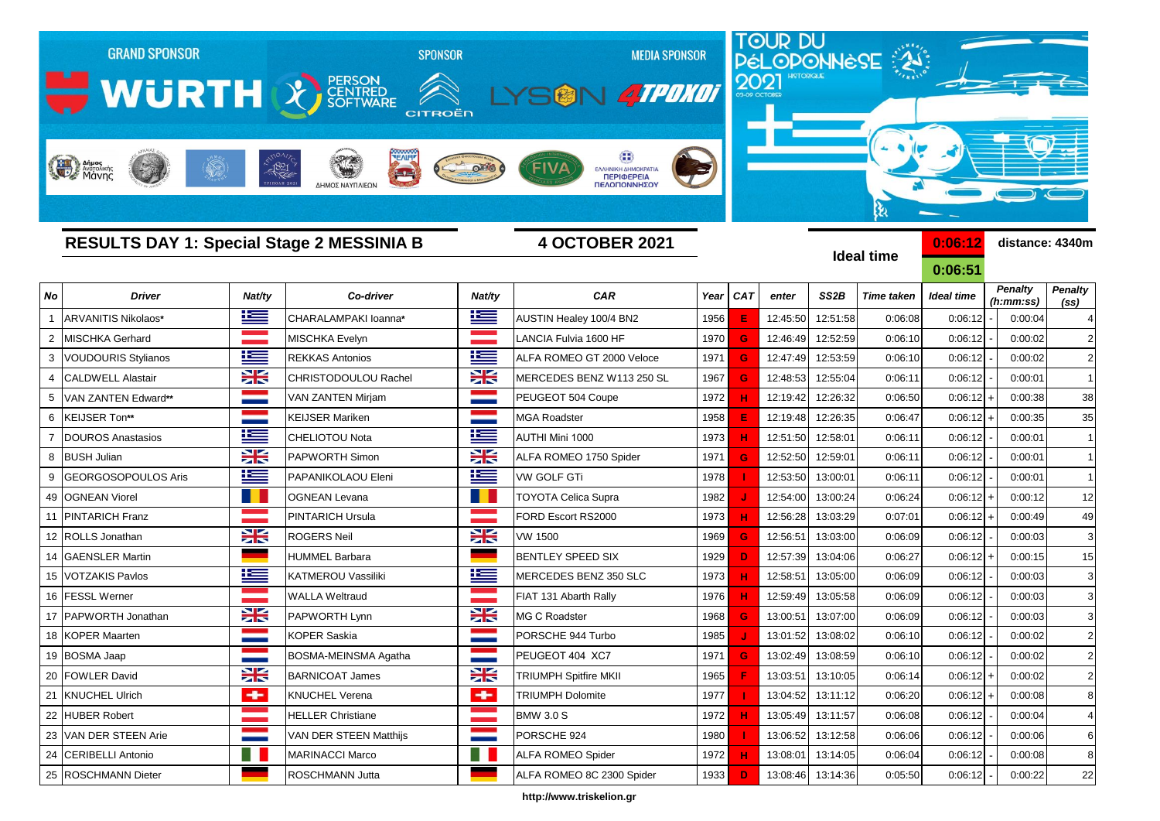

**http://www.triskelion.gr**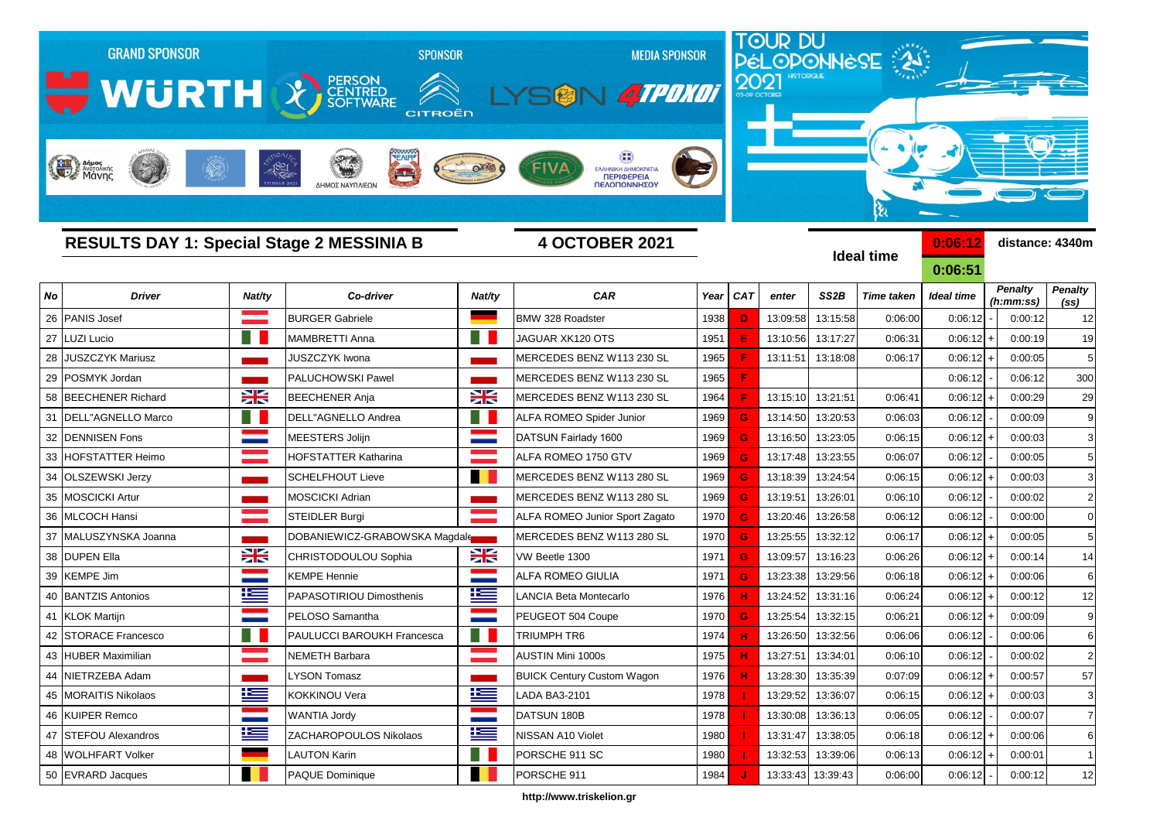

**http://www.triskelion.gr**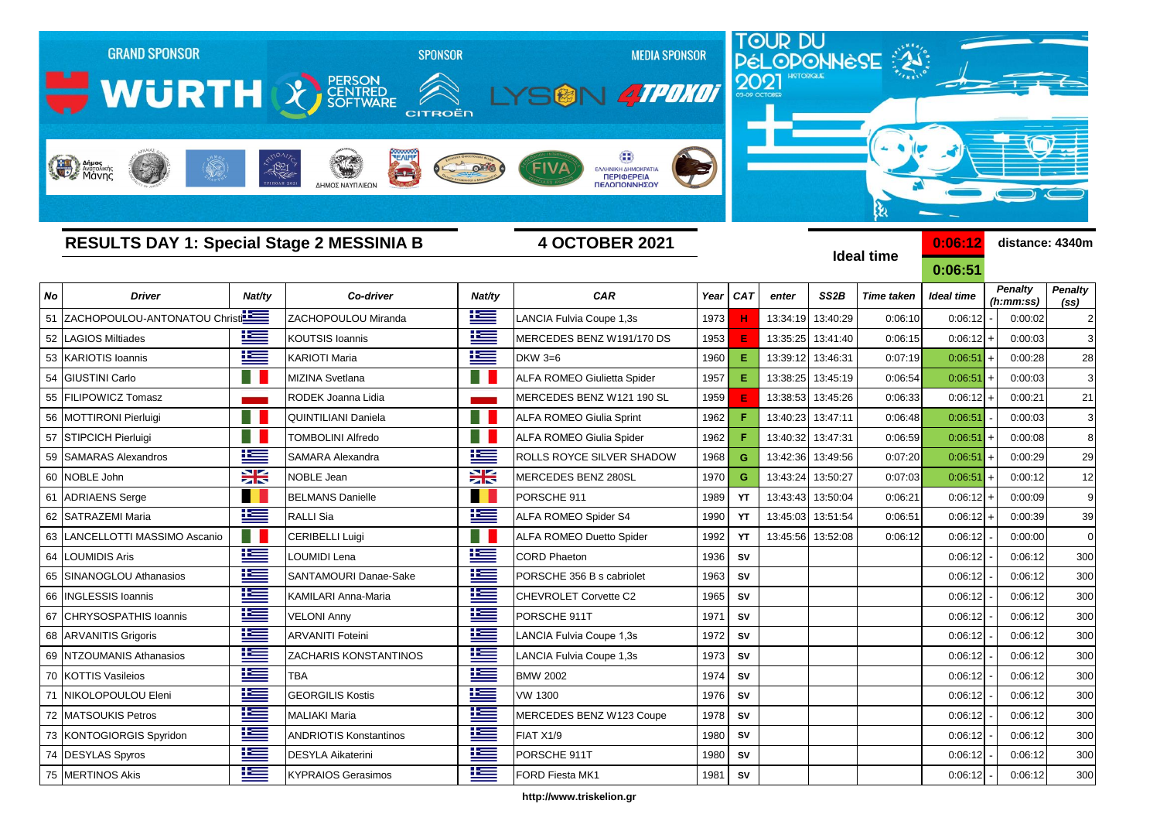